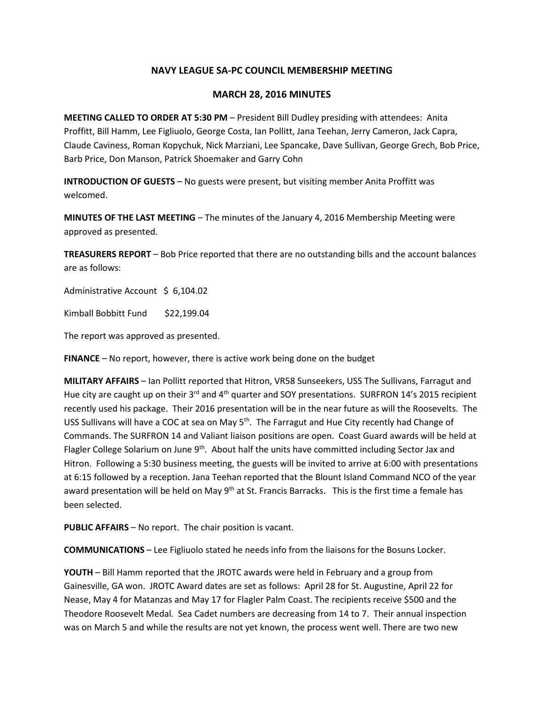## **NAVY LEAGUE SA-PC COUNCIL MEMBERSHIP MEETING**

## **MARCH 28, 2016 MINUTES**

**MEETING CALLED TO ORDER AT 5:30 PM** – President Bill Dudley presiding with attendees: Anita Proffitt, Bill Hamm, Lee Figliuolo, George Costa, Ian Pollitt, Jana Teehan, Jerry Cameron, Jack Capra, Claude Caviness, Roman Kopychuk, Nick Marziani, Lee Spancake, Dave Sullivan, George Grech, Bob Price, Barb Price, Don Manson, Patrick Shoemaker and Garry Cohn

**INTRODUCTION OF GUESTS** – No guests were present, but visiting member Anita Proffitt was welcomed.

**MINUTES OF THE LAST MEETING** – The minutes of the January 4, 2016 Membership Meeting were approved as presented.

**TREASURERS REPORT** – Bob Price reported that there are no outstanding bills and the account balances are as follows:

Administrative Account \$ 6,104.02

Kimball Bobbitt Fund \$22,199.04

The report was approved as presented.

**FINANCE** – No report, however, there is active work being done on the budget

**MILITARY AFFAIRS** – Ian Pollitt reported that Hitron, VR58 Sunseekers, USS The Sullivans, Farragut and Hue city are caught up on their  $3^{rd}$  and  $4^{th}$  quarter and SOY presentations. SURFRON 14's 2015 recipient recently used his package. Their 2016 presentation will be in the near future as will the Roosevelts. The USS Sullivans will have a COC at sea on May 5<sup>th</sup>. The Farragut and Hue City recently had Change of Commands. The SURFRON 14 and Valiant liaison positions are open. Coast Guard awards will be held at Flagler College Solarium on June 9<sup>th</sup>. About half the units have committed including Sector Jax and Hitron. Following a 5:30 business meeting, the guests will be invited to arrive at 6:00 with presentations at 6:15 followed by a reception. Jana Teehan reported that the Blount Island Command NCO of the year award presentation will be held on May 9<sup>th</sup> at St. Francis Barracks. This is the first time a female has been selected.

**PUBLIC AFFAIRS** – No report. The chair position is vacant.

**COMMUNICATIONS** – Lee Figliuolo stated he needs info from the liaisons for the Bosuns Locker.

**YOUTH** – Bill Hamm reported that the JROTC awards were held in February and a group from Gainesville, GA won. JROTC Award dates are set as follows: April 28 for St. Augustine, April 22 for Nease, May 4 for Matanzas and May 17 for Flagler Palm Coast. The recipients receive \$500 and the Theodore Roosevelt Medal. Sea Cadet numbers are decreasing from 14 to 7. Their annual inspection was on March 5 and while the results are not yet known, the process went well. There are two new